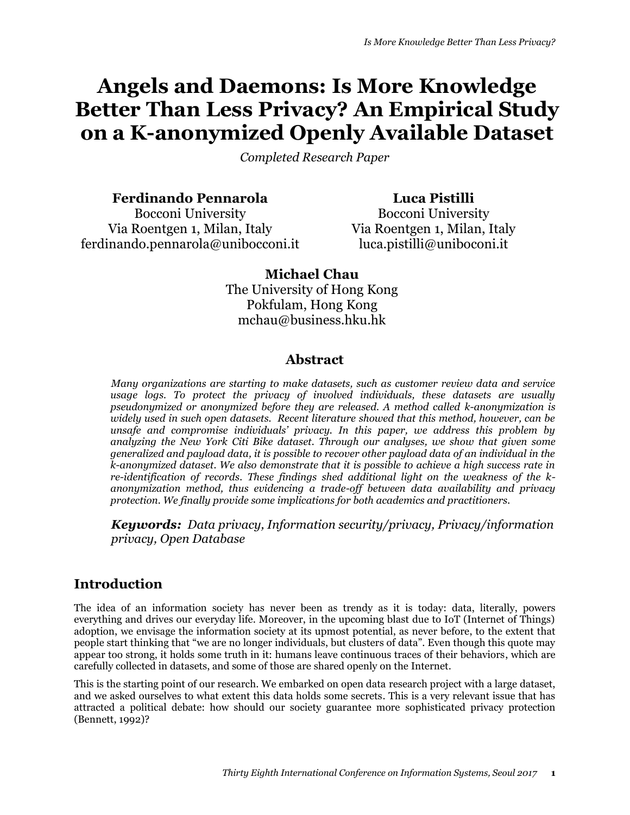# **Angels and Daemons: Is More Knowledge Better Than Less Privacy? An Empirical Study on a K-anonymized Openly Available Dataset**

*Completed Research Paper*

**Ferdinando Pennarola**

Bocconi University Via Roentgen 1, Milan, Italy ferdinando.pennarola@unibocconi.it

**Luca Pistilli** Bocconi University Via Roentgen 1, Milan, Italy luca.pistilli@uniboconi.it

**Michael Chau** The University of Hong Kong Pokfulam, Hong Kong mchau@business.hku.hk

## **Abstract**

*Many organizations are starting to make datasets, such as customer review data and service usage logs. To protect the privacy of involved individuals, these datasets are usually pseudonymized or anonymized before they are released. A method called k-anonymization is widely used in such open datasets. Recent literature showed that this method, however, can be unsafe and compromise individuals' privacy. In this paper, we address this problem by analyzing the New York Citi Bike dataset. Through our analyses, we show that given some generalized and payload data, it is possible to recover other payload data of an individual in the k-anonymized dataset. We also demonstrate that it is possible to achieve a high success rate in re-identification of records. These findings shed additional light on the weakness of the kanonymization method, thus evidencing a trade-off between data availability and privacy protection. We finally provide some implications for both academics and practitioners.*

*Keywords: Data privacy, Information security/privacy, Privacy/information privacy, Open Database*

# **Introduction**

The idea of an information society has never been as trendy as it is today: data, literally, powers everything and drives our everyday life. Moreover, in the upcoming blast due to IoT (Internet of Things) adoption, we envisage the information society at its upmost potential, as never before, to the extent that people start thinking that "we are no longer individuals, but clusters of data". Even though this quote may appear too strong, it holds some truth in it: humans leave continuous traces of their behaviors, which are carefully collected in datasets, and some of those are shared openly on the Internet.

This is the starting point of our research. We embarked on open data research project with a large dataset, and we asked ourselves to what extent this data holds some secrets. This is a very relevant issue that has attracted a political debate: how should our society guarantee more sophisticated privacy protection (Bennett, 1992)?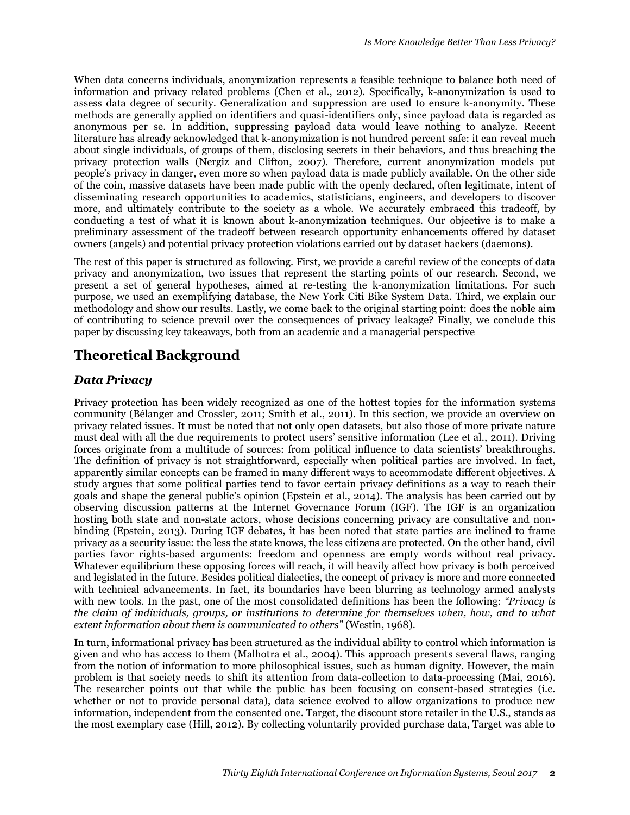When data concerns individuals, anonymization represents a feasible technique to balance both need of information and privacy related problems (Chen et al., 2012). Specifically, k-anonymization is used to assess data degree of security. Generalization and suppression are used to ensure k-anonymity. These methods are generally applied on identifiers and quasi-identifiers only, since payload data is regarded as anonymous per se. In addition, suppressing payload data would leave nothing to analyze. Recent literature has already acknowledged that k-anonymization is not hundred percent safe: it can reveal much about single individuals, of groups of them, disclosing secrets in their behaviors, and thus breaching the privacy protection walls (Nergiz and Clifton, 2007). Therefore, current anonymization models put people's privacy in danger, even more so when payload data is made publicly available. On the other side of the coin, massive datasets have been made public with the openly declared, often legitimate, intent of disseminating research opportunities to academics, statisticians, engineers, and developers to discover more, and ultimately contribute to the society as a whole. We accurately embraced this tradeoff, by conducting a test of what it is known about k-anonymization techniques. Our objective is to make a preliminary assessment of the tradeoff between research opportunity enhancements offered by dataset owners (angels) and potential privacy protection violations carried out by dataset hackers (daemons).

The rest of this paper is structured as following. First, we provide a careful review of the concepts of data privacy and anonymization, two issues that represent the starting points of our research. Second, we present a set of general hypotheses, aimed at re-testing the k-anonymization limitations. For such purpose, we used an exemplifying database, the New York Citi Bike System Data. Third, we explain our methodology and show our results. Lastly, we come back to the original starting point: does the noble aim of contributing to science prevail over the consequences of privacy leakage? Finally, we conclude this paper by discussing key takeaways, both from an academic and a managerial perspective

# **Theoretical Background**

### *Data Privacy*

Privacy protection has been widely recognized as one of the hottest topics for the information systems community (Bélanger and Crossler, 2011; Smith et al., 2011). In this section, we provide an overview on privacy related issues. It must be noted that not only open datasets, but also those of more private nature must deal with all the due requirements to protect users' sensitive information (Lee et al., 2011). Driving forces originate from a multitude of sources: from political influence to data scientists' breakthroughs. The definition of privacy is not straightforward, especially when political parties are involved. In fact, apparently similar concepts can be framed in many different ways to accommodate different objectives. A study argues that some political parties tend to favor certain privacy definitions as a way to reach their goals and shape the general public's opinion (Epstein et al., 2014). The analysis has been carried out by observing discussion patterns at the Internet Governance Forum (IGF). The IGF is an organization hosting both state and non-state actors, whose decisions concerning privacy are consultative and nonbinding (Epstein, 2013). During IGF debates, it has been noted that state parties are inclined to frame privacy as a security issue: the less the state knows, the less citizens are protected. On the other hand, civil parties favor rights-based arguments: freedom and openness are empty words without real privacy. Whatever equilibrium these opposing forces will reach, it will heavily affect how privacy is both perceived and legislated in the future. Besides political dialectics, the concept of privacy is more and more connected with technical advancements. In fact, its boundaries have been blurring as technology armed analysts with new tools. In the past, one of the most consolidated definitions has been the following: *"Privacy is the claim of individuals, groups, or institutions to determine for themselves when, how, and to what extent information about them is communicated to others"* (Westin, 1968).

In turn, informational privacy has been structured as the individual ability to control which information is given and who has access to them (Malhotra et al., 2004). This approach presents several flaws, ranging from the notion of information to more philosophical issues, such as human dignity. However, the main problem is that society needs to shift its attention from data-collection to data-processing (Mai, 2016). The researcher points out that while the public has been focusing on consent-based strategies (i.e. whether or not to provide personal data), data science evolved to allow organizations to produce new information, independent from the consented one. Target, the discount store retailer in the U.S., stands as the most exemplary case (Hill, 2012). By collecting voluntarily provided purchase data, Target was able to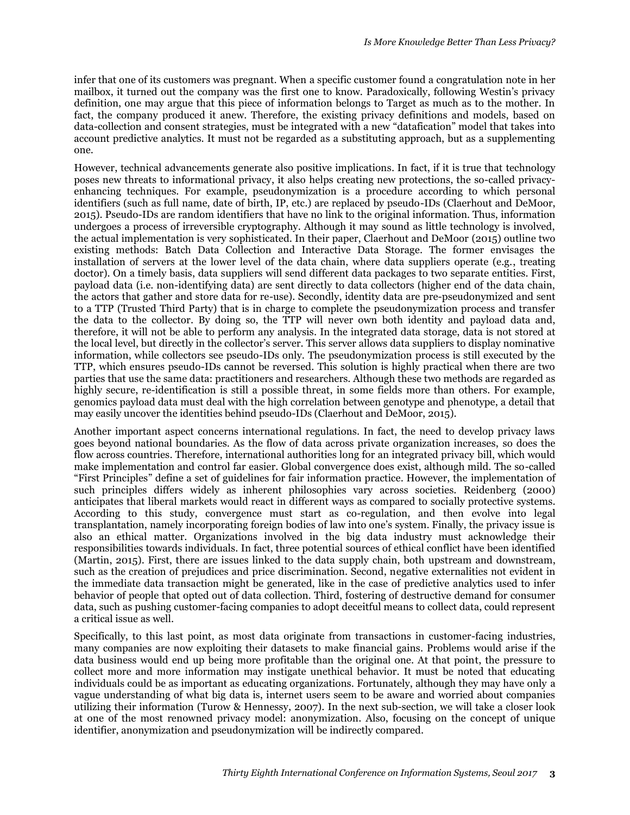infer that one of its customers was pregnant. When a specific customer found a congratulation note in her mailbox, it turned out the company was the first one to know. Paradoxically, following Westin's privacy definition, one may argue that this piece of information belongs to Target as much as to the mother. In fact, the company produced it anew. Therefore, the existing privacy definitions and models, based on data-collection and consent strategies, must be integrated with a new "datafication" model that takes into account predictive analytics. It must not be regarded as a substituting approach, but as a supplementing one.

However, technical advancements generate also positive implications. In fact, if it is true that technology poses new threats to informational privacy, it also helps creating new protections, the so-called privacyenhancing techniques. For example, pseudonymization is a procedure according to which personal identifiers (such as full name, date of birth, IP, etc.) are replaced by pseudo-IDs (Claerhout and DeMoor, 2015). Pseudo-IDs are random identifiers that have no link to the original information. Thus, information undergoes a process of irreversible cryptography. Although it may sound as little technology is involved, the actual implementation is very sophisticated. In their paper, Claerhout and DeMoor (2015) outline two existing methods: Batch Data Collection and Interactive Data Storage. The former envisages the installation of servers at the lower level of the data chain, where data suppliers operate (e.g., treating doctor). On a timely basis, data suppliers will send different data packages to two separate entities. First, payload data (i.e. non-identifying data) are sent directly to data collectors (higher end of the data chain, the actors that gather and store data for re-use). Secondly, identity data are pre-pseudonymized and sent to a TTP (Trusted Third Party) that is in charge to complete the pseudonymization process and transfer the data to the collector. By doing so, the TTP will never own both identity and payload data and, therefore, it will not be able to perform any analysis. In the integrated data storage, data is not stored at the local level, but directly in the collector's server. This server allows data suppliers to display nominative information, while collectors see pseudo-IDs only. The pseudonymization process is still executed by the TTP, which ensures pseudo-IDs cannot be reversed. This solution is highly practical when there are two parties that use the same data: practitioners and researchers. Although these two methods are regarded as highly secure, re-identification is still a possible threat, in some fields more than others. For example, genomics payload data must deal with the high correlation between genotype and phenotype, a detail that may easily uncover the identities behind pseudo-IDs (Claerhout and DeMoor, 2015).

Another important aspect concerns international regulations. In fact, the need to develop privacy laws goes beyond national boundaries. As the flow of data across private organization increases, so does the flow across countries. Therefore, international authorities long for an integrated privacy bill, which would make implementation and control far easier. Global convergence does exist, although mild. The so-called "First Principles" define a set of guidelines for fair information practice. However, the implementation of such principles differs widely as inherent philosophies vary across societies. Reidenberg (2000) anticipates that liberal markets would react in different ways as compared to socially protective systems. According to this study, convergence must start as co-regulation, and then evolve into legal transplantation, namely incorporating foreign bodies of law into one's system. Finally, the privacy issue is also an ethical matter. Organizations involved in the big data industry must acknowledge their responsibilities towards individuals. In fact, three potential sources of ethical conflict have been identified (Martin, 2015). First, there are issues linked to the data supply chain, both upstream and downstream, such as the creation of prejudices and price discrimination. Second, negative externalities not evident in the immediate data transaction might be generated, like in the case of predictive analytics used to infer behavior of people that opted out of data collection. Third, fostering of destructive demand for consumer data, such as pushing customer-facing companies to adopt deceitful means to collect data, could represent a critical issue as well.

Specifically, to this last point, as most data originate from transactions in customer-facing industries, many companies are now exploiting their datasets to make financial gains. Problems would arise if the data business would end up being more profitable than the original one. At that point, the pressure to collect more and more information may instigate unethical behavior. It must be noted that educating individuals could be as important as educating organizations. Fortunately, although they may have only a vague understanding of what big data is, internet users seem to be aware and worried about companies utilizing their information (Turow & Hennessy, 2007). In the next sub-section, we will take a closer look at one of the most renowned privacy model: anonymization. Also, focusing on the concept of unique identifier, anonymization and pseudonymization will be indirectly compared.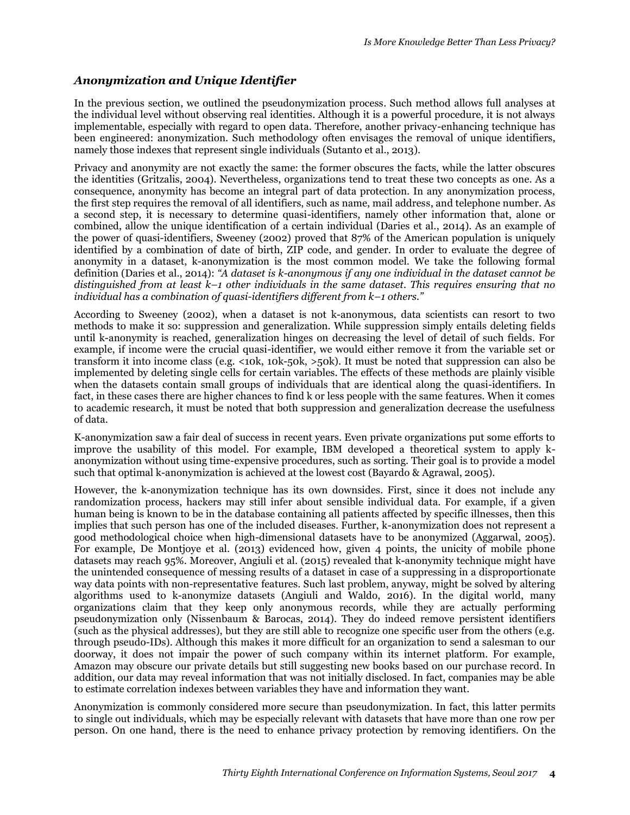### *Anonymization and Unique Identifier*

In the previous section, we outlined the pseudonymization process. Such method allows full analyses at the individual level without observing real identities. Although it is a powerful procedure, it is not always implementable, especially with regard to open data. Therefore, another privacy-enhancing technique has been engineered: anonymization. Such methodology often envisages the removal of unique identifiers, namely those indexes that represent single individuals (Sutanto et al., 2013).

Privacy and anonymity are not exactly the same: the former obscures the facts, while the latter obscures the identities (Gritzalis, 2004). Nevertheless, organizations tend to treat these two concepts as one. As a consequence, anonymity has become an integral part of data protection. In any anonymization process, the first step requires the removal of all identifiers, such as name, mail address, and telephone number. As a second step, it is necessary to determine quasi-identifiers, namely other information that, alone or combined, allow the unique identification of a certain individual (Daries et al., 2014). As an example of the power of quasi-identifiers, Sweeney (2002) proved that 87% of the American population is uniquely identified by a combination of date of birth, ZIP code, and gender. In order to evaluate the degree of anonymity in a dataset, k-anonymization is the most common model. We take the following formal definition (Daries et al., 2014): *"A dataset is k-anonymous if any one individual in the dataset cannot be distinguished from at least k–1 other individuals in the same dataset. This requires ensuring that no individual has a combination of quasi-identifiers different from k–1 others."*

According to Sweeney (2002), when a dataset is not k-anonymous, data scientists can resort to two methods to make it so: suppression and generalization. While suppression simply entails deleting fields until k-anonymity is reached, generalization hinges on decreasing the level of detail of such fields. For example, if income were the crucial quasi-identifier, we would either remove it from the variable set or transform it into income class (e.g. <10k, 10k-50k, >50k). It must be noted that suppression can also be implemented by deleting single cells for certain variables. The effects of these methods are plainly visible when the datasets contain small groups of individuals that are identical along the quasi-identifiers. In fact, in these cases there are higher chances to find k or less people with the same features. When it comes to academic research, it must be noted that both suppression and generalization decrease the usefulness of data.

K-anonymization saw a fair deal of success in recent years. Even private organizations put some efforts to improve the usability of this model. For example, IBM developed a theoretical system to apply kanonymization without using time-expensive procedures, such as sorting. Their goal is to provide a model such that optimal k-anonymization is achieved at the lowest cost (Bayardo & Agrawal, 2005).

However, the k-anonymization technique has its own downsides. First, since it does not include any randomization process, hackers may still infer about sensible individual data. For example, if a given human being is known to be in the database containing all patients affected by specific illnesses, then this implies that such person has one of the included diseases. Further, k-anonymization does not represent a good methodological choice when high-dimensional datasets have to be anonymized (Aggarwal, 2005). For example, De Montjoye et al. (2013) evidenced how, given 4 points, the unicity of mobile phone datasets may reach 95%. Moreover, Angiuli et al. (2015) revealed that k-anonymity technique might have the unintended consequence of messing results of a dataset in case of a suppressing in a disproportionate way data points with non-representative features. Such last problem, anyway, might be solved by altering algorithms used to k-anonymize datasets (Angiuli and Waldo, 2016). In the digital world, many organizations claim that they keep only anonymous records, while they are actually performing pseudonymization only (Nissenbaum & Barocas, 2014). They do indeed remove persistent identifiers (such as the physical addresses), but they are still able to recognize one specific user from the others (e.g. through pseudo-IDs). Although this makes it more difficult for an organization to send a salesman to our doorway, it does not impair the power of such company within its internet platform. For example, Amazon may obscure our private details but still suggesting new books based on our purchase record. In addition, our data may reveal information that was not initially disclosed. In fact, companies may be able to estimate correlation indexes between variables they have and information they want.

Anonymization is commonly considered more secure than pseudonymization. In fact, this latter permits to single out individuals, which may be especially relevant with datasets that have more than one row per person. On one hand, there is the need to enhance privacy protection by removing identifiers. On the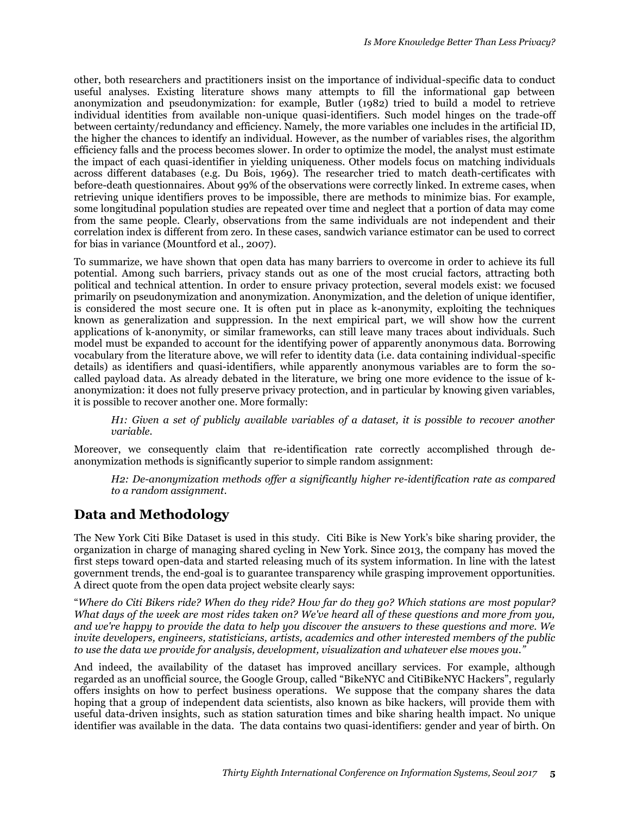other, both researchers and practitioners insist on the importance of individual-specific data to conduct useful analyses. Existing literature shows many attempts to fill the informational gap between anonymization and pseudonymization: for example, Butler (1982) tried to build a model to retrieve individual identities from available non-unique quasi-identifiers. Such model hinges on the trade-off between certainty/redundancy and efficiency. Namely, the more variables one includes in the artificial ID, the higher the chances to identify an individual. However, as the number of variables rises, the algorithm efficiency falls and the process becomes slower. In order to optimize the model, the analyst must estimate the impact of each quasi-identifier in yielding uniqueness. Other models focus on matching individuals across different databases (e.g. Du Bois, 1969). The researcher tried to match death-certificates with before-death questionnaires. About 99% of the observations were correctly linked. In extreme cases, when retrieving unique identifiers proves to be impossible, there are methods to minimize bias. For example, some longitudinal population studies are repeated over time and neglect that a portion of data may come from the same people. Clearly, observations from the same individuals are not independent and their correlation index is different from zero. In these cases, sandwich variance estimator can be used to correct for bias in variance (Mountford et al., 2007).

To summarize, we have shown that open data has many barriers to overcome in order to achieve its full potential. Among such barriers, privacy stands out as one of the most crucial factors, attracting both political and technical attention. In order to ensure privacy protection, several models exist: we focused primarily on pseudonymization and anonymization. Anonymization, and the deletion of unique identifier, is considered the most secure one. It is often put in place as k-anonymity, exploiting the techniques known as generalization and suppression. In the next empirical part, we will show how the current applications of k-anonymity, or similar frameworks, can still leave many traces about individuals. Such model must be expanded to account for the identifying power of apparently anonymous data. Borrowing vocabulary from the literature above, we will refer to identity data (i.e. data containing individual-specific details) as identifiers and quasi-identifiers, while apparently anonymous variables are to form the socalled payload data. As already debated in the literature, we bring one more evidence to the issue of kanonymization: it does not fully preserve privacy protection, and in particular by knowing given variables, it is possible to recover another one. More formally:

*H1: Given a set of publicly available variables of a dataset, it is possible to recover another variable.*

Moreover, we consequently claim that re-identification rate correctly accomplished through deanonymization methods is significantly superior to simple random assignment:

*H2: De-anonymization methods offer a significantly higher re-identification rate as compared to a random assignment*.

# **Data and Methodology**

The New York Citi Bike Dataset is used in this study. Citi Bike is New York's bike sharing provider, the organization in charge of managing shared cycling in New York. Since 2013, the company has moved the first steps toward open-data and started releasing much of its system information. In line with the latest government trends, the end-goal is to guarantee transparency while grasping improvement opportunities. A direct quote from the open data project website clearly says:

"*Where do Citi Bikers ride? When do they ride? How far do they go? Which stations are most popular? What days of the week are most rides taken on? We've heard all of these questions and more from you, and we're happy to provide the data to help you discover the answers to these questions and more. We invite developers, engineers, statisticians, artists, academics and other interested members of the public to use the data we provide for analysis, development, visualization and whatever else moves you."*

And indeed, the availability of the dataset has improved ancillary services. For example, although regarded as an unofficial source, the Google Group, called "BikeNYC and CitiBikeNYC Hackers", regularly offers insights on how to perfect business operations. We suppose that the company shares the data hoping that a group of independent data scientists, also known as bike hackers, will provide them with useful data-driven insights, such as station saturation times and bike sharing health impact. No unique identifier was available in the data. The data contains two quasi-identifiers: gender and year of birth. On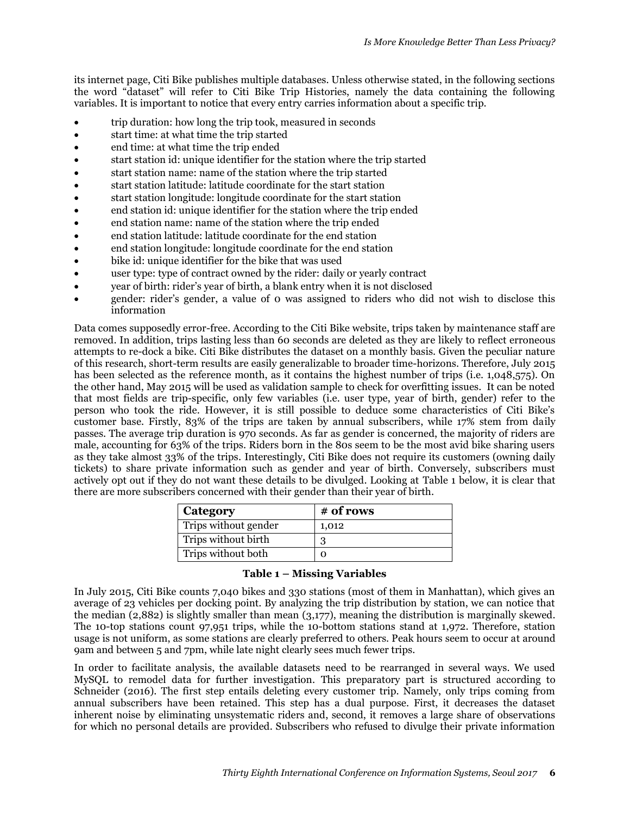its internet page, Citi Bike publishes multiple databases. Unless otherwise stated, in the following sections the word "dataset" will refer to Citi Bike Trip Histories, namely the data containing the following variables. It is important to notice that every entry carries information about a specific trip.

- trip duration: how long the trip took, measured in seconds
- start time: at what time the trip started
- end time: at what time the trip ended
- start station id: unique identifier for the station where the trip started
- start station name: name of the station where the trip started
- start station latitude: latitude coordinate for the start station
- start station longitude: longitude coordinate for the start station
- end station id: unique identifier for the station where the trip ended
- end station name: name of the station where the trip ended
- end station latitude: latitude coordinate for the end station
- end station longitude: longitude coordinate for the end station
- bike id: unique identifier for the bike that was used
- user type: type of contract owned by the rider: daily or yearly contract
- year of birth: rider's year of birth, a blank entry when it is not disclosed
- gender: rider's gender, a value of 0 was assigned to riders who did not wish to disclose this information

Data comes supposedly error-free. According to the Citi Bike website, trips taken by maintenance staff are removed. In addition, trips lasting less than 60 seconds are deleted as they are likely to reflect erroneous attempts to re-dock a bike. Citi Bike distributes the dataset on a monthly basis. Given the peculiar nature of this research, short-term results are easily generalizable to broader time-horizons. Therefore, July 2015 has been selected as the reference month, as it contains the highest number of trips (i.e. 1,048,575). On the other hand, May 2015 will be used as validation sample to check for overfitting issues. It can be noted that most fields are trip-specific, only few variables (i.e. user type, year of birth, gender) refer to the person who took the ride. However, it is still possible to deduce some characteristics of Citi Bike's customer base. Firstly, 83% of the trips are taken by annual subscribers, while 17% stem from daily passes. The average trip duration is 970 seconds. As far as gender is concerned, the majority of riders are male, accounting for 63% of the trips. Riders born in the 80s seem to be the most avid bike sharing users as they take almost 33% of the trips. Interestingly, Citi Bike does not require its customers (owning daily tickets) to share private information such as gender and year of birth. Conversely, subscribers must actively opt out if they do not want these details to be divulged. Looking at Table 1 below, it is clear that there are more subscribers concerned with their gender than their year of birth.

| <b>Category</b>      | # of rows |
|----------------------|-----------|
| Trips without gender | 1,012     |
| Trips without birth  |           |
| Trips without both   |           |

#### **Table 1 – Missing Variables**

In July 2015, Citi Bike counts 7,040 bikes and 330 stations (most of them in Manhattan), which gives an average of 23 vehicles per docking point. By analyzing the trip distribution by station, we can notice that the median (2,882) is slightly smaller than mean (3,177), meaning the distribution is marginally skewed. The 10-top stations count 97,951 trips, while the 10-bottom stations stand at 1,972. Therefore, station usage is not uniform, as some stations are clearly preferred to others. Peak hours seem to occur at around 9am and between 5 and 7pm, while late night clearly sees much fewer trips.

In order to facilitate analysis, the available datasets need to be rearranged in several ways. We used MySQL to remodel data for further investigation. This preparatory part is structured according to Schneider (2016). The first step entails deleting every customer trip. Namely, only trips coming from annual subscribers have been retained. This step has a dual purpose. First, it decreases the dataset inherent noise by eliminating unsystematic riders and, second, it removes a large share of observations for which no personal details are provided. Subscribers who refused to divulge their private information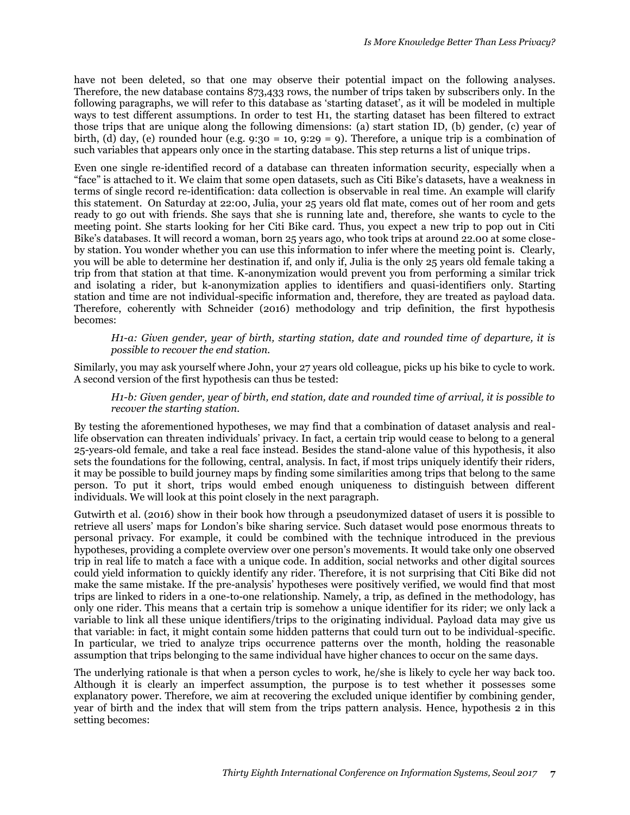have not been deleted, so that one may observe their potential impact on the following analyses. Therefore, the new database contains 873,433 rows, the number of trips taken by subscribers only. In the following paragraphs, we will refer to this database as 'starting dataset', as it will be modeled in multiple ways to test different assumptions. In order to test H1, the starting dataset has been filtered to extract those trips that are unique along the following dimensions: (a) start station ID, (b) gender, (c) year of birth, (d) day, (e) rounded hour (e.g.  $9:30 = 10, 9:29 = 9$ ). Therefore, a unique trip is a combination of such variables that appears only once in the starting database. This step returns a list of unique trips.

Even one single re-identified record of a database can threaten information security, especially when a "face" is attached to it. We claim that some open datasets, such as Citi Bike's datasets, have a weakness in terms of single record re-identification: data collection is observable in real time. An example will clarify this statement. On Saturday at 22:00, Julia, your 25 years old flat mate, comes out of her room and gets ready to go out with friends. She says that she is running late and, therefore, she wants to cycle to the meeting point. She starts looking for her Citi Bike card. Thus, you expect a new trip to pop out in Citi Bike's databases. It will record a woman, born 25 years ago, who took trips at around 22.00 at some closeby station. You wonder whether you can use this information to infer where the meeting point is. Clearly, you will be able to determine her destination if, and only if, Julia is the only 25 years old female taking a trip from that station at that time. K-anonymization would prevent you from performing a similar trick and isolating a rider, but k-anonymization applies to identifiers and quasi-identifiers only. Starting station and time are not individual-specific information and, therefore, they are treated as payload data. Therefore, coherently with Schneider (2016) methodology and trip definition, the first hypothesis becomes:

*H1-a: Given gender, year of birth, starting station, date and rounded time of departure, it is possible to recover the end station.*

Similarly, you may ask yourself where John, your 27 years old colleague, picks up his bike to cycle to work. A second version of the first hypothesis can thus be tested:

*H1-b: Given gender, year of birth, end station, date and rounded time of arrival, it is possible to recover the starting station.*

By testing the aforementioned hypotheses, we may find that a combination of dataset analysis and reallife observation can threaten individuals' privacy. In fact, a certain trip would cease to belong to a general 25-years-old female, and take a real face instead. Besides the stand-alone value of this hypothesis, it also sets the foundations for the following, central, analysis. In fact, if most trips uniquely identify their riders, it may be possible to build journey maps by finding some similarities among trips that belong to the same person. To put it short, trips would embed enough uniqueness to distinguish between different individuals. We will look at this point closely in the next paragraph.

Gutwirth et al. (2016) show in their book how through a pseudonymized dataset of users it is possible to retrieve all users' maps for London's bike sharing service. Such dataset would pose enormous threats to personal privacy. For example, it could be combined with the technique introduced in the previous hypotheses, providing a complete overview over one person's movements. It would take only one observed trip in real life to match a face with a unique code. In addition, social networks and other digital sources could yield information to quickly identify any rider. Therefore, it is not surprising that Citi Bike did not make the same mistake. If the pre-analysis' hypotheses were positively verified, we would find that most trips are linked to riders in a one-to-one relationship. Namely, a trip, as defined in the methodology, has only one rider. This means that a certain trip is somehow a unique identifier for its rider; we only lack a variable to link all these unique identifiers/trips to the originating individual. Payload data may give us that variable: in fact, it might contain some hidden patterns that could turn out to be individual-specific. In particular, we tried to analyze trips occurrence patterns over the month, holding the reasonable assumption that trips belonging to the same individual have higher chances to occur on the same days.

The underlying rationale is that when a person cycles to work, he/she is likely to cycle her way back too. Although it is clearly an imperfect assumption, the purpose is to test whether it possesses some explanatory power. Therefore, we aim at recovering the excluded unique identifier by combining gender, year of birth and the index that will stem from the trips pattern analysis. Hence, hypothesis 2 in this setting becomes: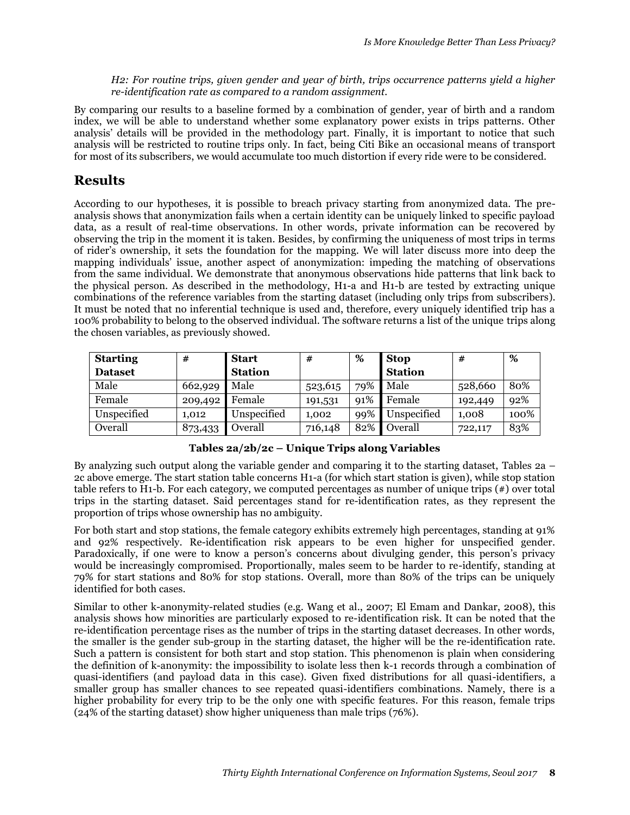*H2: For routine trips, given gender and year of birth, trips occurrence patterns yield a higher re-identification rate as compared to a random assignment.*

By comparing our results to a baseline formed by a combination of gender, year of birth and a random index, we will be able to understand whether some explanatory power exists in trips patterns. Other analysis' details will be provided in the methodology part. Finally, it is important to notice that such analysis will be restricted to routine trips only. In fact, being Citi Bike an occasional means of transport for most of its subscribers, we would accumulate too much distortion if every ride were to be considered.

# **Results**

According to our hypotheses, it is possible to breach privacy starting from anonymized data. The preanalysis shows that anonymization fails when a certain identity can be uniquely linked to specific payload data, as a result of real-time observations. In other words, private information can be recovered by observing the trip in the moment it is taken. Besides, by confirming the uniqueness of most trips in terms of rider's ownership, it sets the foundation for the mapping. We will later discuss more into deep the mapping individuals' issue, another aspect of anonymization: impeding the matching of observations from the same individual. We demonstrate that anonymous observations hide patterns that link back to the physical person. As described in the methodology, H1-a and H1-b are tested by extracting unique combinations of the reference variables from the starting dataset (including only trips from subscribers). It must be noted that no inferential technique is used and, therefore, every uniquely identified trip has a 100% probability to belong to the observed individual. The software returns a list of the unique trips along the chosen variables, as previously showed.

| <b>Starting</b> | #       | <b>Start</b>   | #       | %   | <b>Stop</b>    | #       | %    |
|-----------------|---------|----------------|---------|-----|----------------|---------|------|
| <b>Dataset</b>  |         | <b>Station</b> |         |     | <b>Station</b> |         |      |
| Male            | 662,929 | Male           | 523,615 | 79% | Male           | 528,660 | 80%  |
| Female          | 209,492 | Female         | 191,531 | 91% | Female         | 192,449 | 92%  |
| Unspecified     | 1,012   | Unspecified    | 1,002   | 99% | Unspecified    | 1,008   | 100% |
| Overall         | 873,433 | Overall        | 716,148 | 82% | Overall        | 722,117 | 83%  |

**Tables 2a/2b/2c – Unique Trips along Variables**

By analyzing such output along the variable gender and comparing it to the starting dataset, Tables 2a – 2c above emerge. The start station table concerns H1-a (for which start station is given), while stop station table refers to H1-b. For each category, we computed percentages as number of unique trips (#) over total trips in the starting dataset. Said percentages stand for re-identification rates, as they represent the proportion of trips whose ownership has no ambiguity.

For both start and stop stations, the female category exhibits extremely high percentages, standing at 91% and 92% respectively. Re-identification risk appears to be even higher for unspecified gender. Paradoxically, if one were to know a person's concerns about divulging gender, this person's privacy would be increasingly compromised. Proportionally, males seem to be harder to re-identify, standing at 79% for start stations and 80% for stop stations. Overall, more than 80% of the trips can be uniquely identified for both cases.

Similar to other k-anonymity-related studies (e.g. Wang et al., 2007; El Emam and Dankar, 2008), this analysis shows how minorities are particularly exposed to re-identification risk. It can be noted that the re-identification percentage rises as the number of trips in the starting dataset decreases. In other words, the smaller is the gender sub-group in the starting dataset, the higher will be the re-identification rate. Such a pattern is consistent for both start and stop station. This phenomenon is plain when considering the definition of k-anonymity: the impossibility to isolate less then k-1 records through a combination of quasi-identifiers (and payload data in this case). Given fixed distributions for all quasi-identifiers, a smaller group has smaller chances to see repeated quasi-identifiers combinations. Namely, there is a higher probability for every trip to be the only one with specific features. For this reason, female trips (24% of the starting dataset) show higher uniqueness than male trips (76%).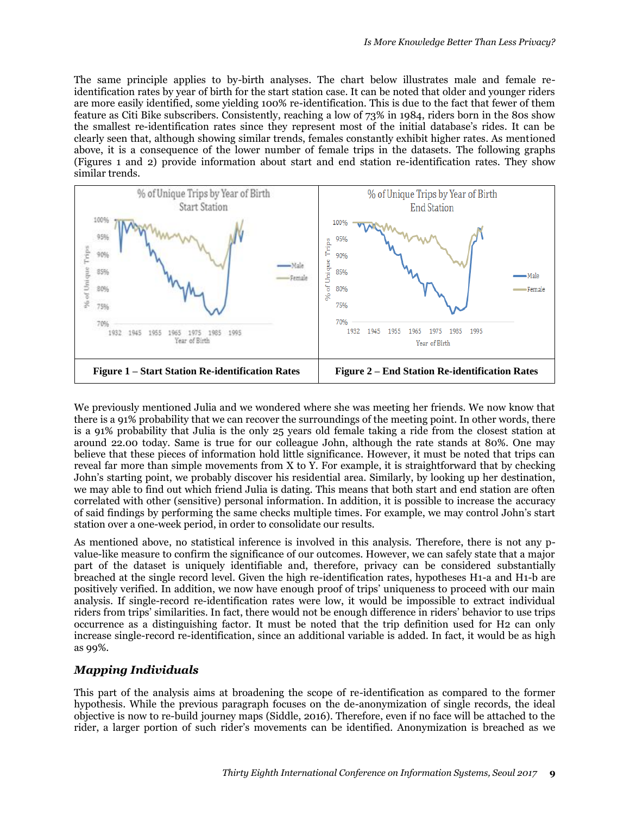The same principle applies to by-birth analyses. The chart below illustrates male and female reidentification rates by year of birth for the start station case. It can be noted that older and younger riders are more easily identified, some yielding 100% re-identification. This is due to the fact that fewer of them feature as Citi Bike subscribers. Consistently, reaching a low of 73% in 1984, riders born in the 80s show the smallest re-identification rates since they represent most of the initial database's rides. It can be clearly seen that, although showing similar trends, females constantly exhibit higher rates. As mentioned above, it is a consequence of the lower number of female trips in the datasets. The following graphs (Figures 1 and 2) provide information about start and end station re-identification rates. They show similar trends.



We previously mentioned Julia and we wondered where she was meeting her friends. We now know that there is a 91% probability that we can recover the surroundings of the meeting point. In other words, there is a 91% probability that Julia is the only 25 years old female taking a ride from the closest station at around 22.00 today. Same is true for our colleague John, although the rate stands at 80%. One may believe that these pieces of information hold little significance. However, it must be noted that trips can reveal far more than simple movements from X to Y. For example, it is straightforward that by checking John's starting point, we probably discover his residential area. Similarly, by looking up her destination, we may able to find out which friend Julia is dating. This means that both start and end station are often correlated with other (sensitive) personal information. In addition, it is possible to increase the accuracy of said findings by performing the same checks multiple times. For example, we may control John's start station over a one-week period, in order to consolidate our results.

As mentioned above, no statistical inference is involved in this analysis. Therefore, there is not any pvalue-like measure to confirm the significance of our outcomes. However, we can safely state that a major part of the dataset is uniquely identifiable and, therefore, privacy can be considered substantially breached at the single record level. Given the high re-identification rates, hypotheses H1-a and H1-b are positively verified. In addition, we now have enough proof of trips' uniqueness to proceed with our main analysis. If single-record re-identification rates were low, it would be impossible to extract individual riders from trips' similarities. In fact, there would not be enough difference in riders' behavior to use trips occurrence as a distinguishing factor. It must be noted that the trip definition used for H2 can only increase single-record re-identification, since an additional variable is added. In fact, it would be as high as 99%.

#### *Mapping Individuals*

This part of the analysis aims at broadening the scope of re-identification as compared to the former hypothesis. While the previous paragraph focuses on the de-anonymization of single records, the ideal objective is now to re-build journey maps (Siddle, 2016). Therefore, even if no face will be attached to the rider, a larger portion of such rider's movements can be identified. Anonymization is breached as we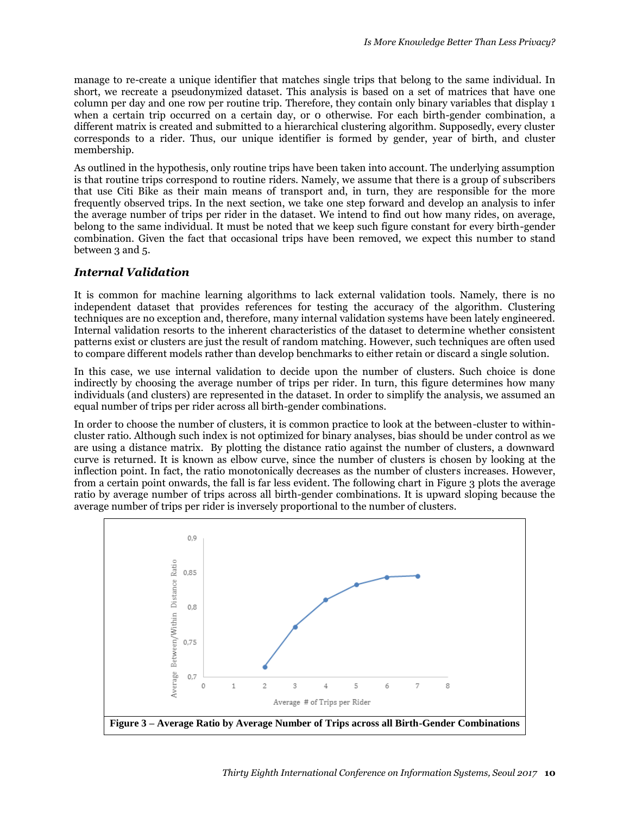manage to re-create a unique identifier that matches single trips that belong to the same individual. In short, we recreate a pseudonymized dataset. This analysis is based on a set of matrices that have one column per day and one row per routine trip. Therefore, they contain only binary variables that display 1 when a certain trip occurred on a certain day, or 0 otherwise. For each birth-gender combination, a different matrix is created and submitted to a hierarchical clustering algorithm. Supposedly, every cluster corresponds to a rider. Thus, our unique identifier is formed by gender, year of birth, and cluster membership.

As outlined in the hypothesis, only routine trips have been taken into account. The underlying assumption is that routine trips correspond to routine riders. Namely, we assume that there is a group of subscribers that use Citi Bike as their main means of transport and, in turn, they are responsible for the more frequently observed trips. In the next section, we take one step forward and develop an analysis to infer the average number of trips per rider in the dataset. We intend to find out how many rides, on average, belong to the same individual. It must be noted that we keep such figure constant for every birth-gender combination. Given the fact that occasional trips have been removed, we expect this number to stand between 3 and 5.

#### *Internal Validation*

It is common for machine learning algorithms to lack external validation tools. Namely, there is no independent dataset that provides references for testing the accuracy of the algorithm. Clustering techniques are no exception and, therefore, many internal validation systems have been lately engineered. Internal validation resorts to the inherent characteristics of the dataset to determine whether consistent patterns exist or clusters are just the result of random matching. However, such techniques are often used to compare different models rather than develop benchmarks to either retain or discard a single solution.

In this case, we use internal validation to decide upon the number of clusters. Such choice is done indirectly by choosing the average number of trips per rider. In turn, this figure determines how many individuals (and clusters) are represented in the dataset. In order to simplify the analysis, we assumed an equal number of trips per rider across all birth-gender combinations.

In order to choose the number of clusters, it is common practice to look at the between-cluster to withincluster ratio. Although such index is not optimized for binary analyses, bias should be under control as we are using a distance matrix. By plotting the distance ratio against the number of clusters, a downward curve is returned. It is known as elbow curve, since the number of clusters is chosen by looking at the inflection point. In fact, the ratio monotonically decreases as the number of clusters increases. However, from a certain point onwards, the fall is far less evident. The following chart in Figure 3 plots the average ratio by average number of trips across all birth-gender combinations. It is upward sloping because the average number of trips per rider is inversely proportional to the number of clusters.

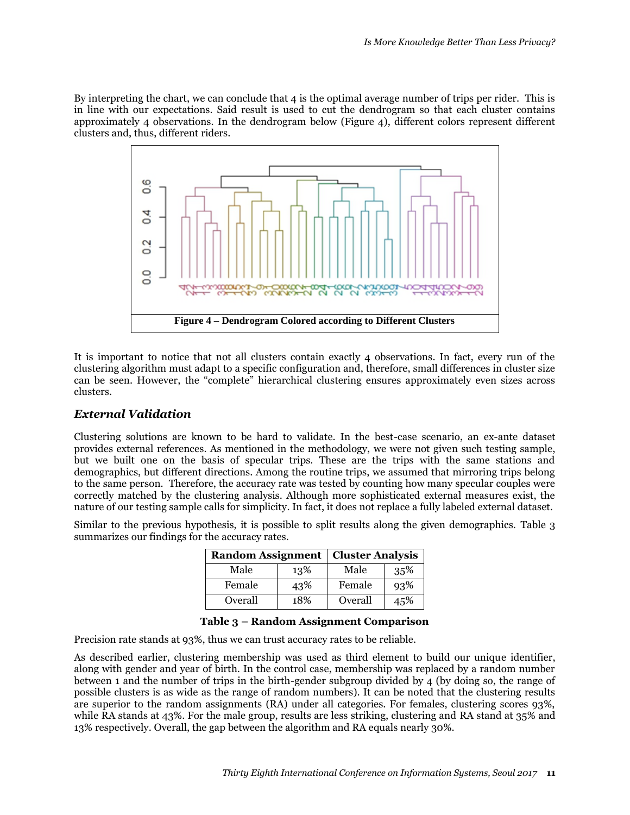By interpreting the chart, we can conclude that 4 is the optimal average number of trips per rider. This is in line with our expectations. Said result is used to cut the dendrogram so that each cluster contains approximately 4 observations. In the dendrogram below (Figure 4), different colors represent different clusters and, thus, different riders.



It is important to notice that not all clusters contain exactly 4 observations. In fact, every run of the clustering algorithm must adapt to a specific configuration and, therefore, small differences in cluster size can be seen. However, the "complete" hierarchical clustering ensures approximately even sizes across clusters.

### *External Validation*

Clustering solutions are known to be hard to validate. In the best-case scenario, an ex-ante dataset provides external references. As mentioned in the methodology, we were not given such testing sample, but we built one on the basis of specular trips. These are the trips with the same stations and demographics, but different directions. Among the routine trips, we assumed that mirroring trips belong to the same person. Therefore, the accuracy rate was tested by counting how many specular couples were correctly matched by the clustering analysis. Although more sophisticated external measures exist, the nature of our testing sample calls for simplicity. In fact, it does not replace a fully labeled external dataset.

Similar to the previous hypothesis, it is possible to split results along the given demographics. Table 3 summarizes our findings for the accuracy rates.

| <b>Random Assignment</b> |     | <b>Cluster Analysis</b> |     |  |
|--------------------------|-----|-------------------------|-----|--|
| Male                     | 13% | Male                    | 35% |  |
| Female                   | 43% | Female                  | 93% |  |
| Overall                  | 18% | Overall                 | 45% |  |

#### **Table 3 – Random Assignment Comparison**

Precision rate stands at 93%, thus we can trust accuracy rates to be reliable.

As described earlier, clustering membership was used as third element to build our unique identifier, along with gender and year of birth. In the control case, membership was replaced by a random number between 1 and the number of trips in the birth-gender subgroup divided by 4 (by doing so, the range of possible clusters is as wide as the range of random numbers). It can be noted that the clustering results are superior to the random assignments (RA) under all categories. For females, clustering scores 93%, while RA stands at 43%. For the male group, results are less striking, clustering and RA stand at 35% and 13% respectively. Overall, the gap between the algorithm and RA equals nearly 30%.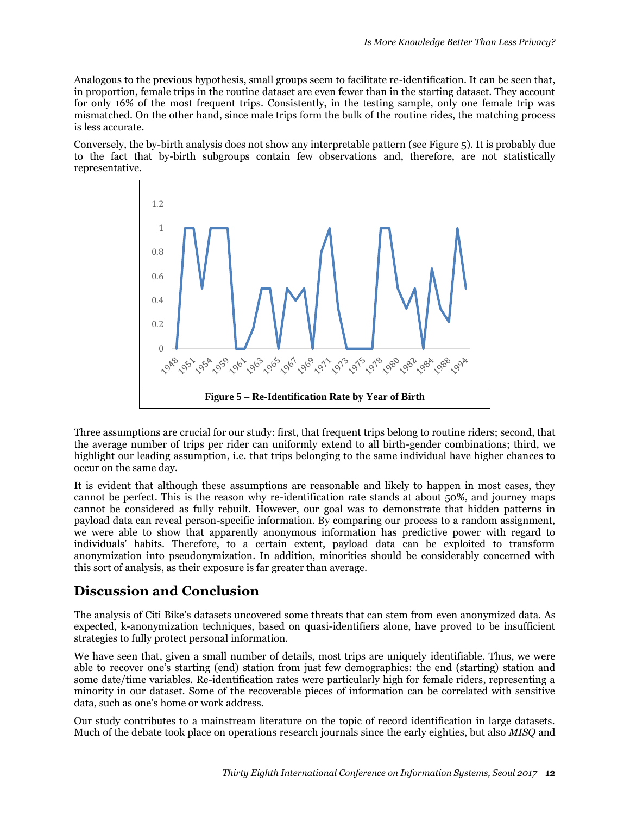Analogous to the previous hypothesis, small groups seem to facilitate re-identification. It can be seen that, in proportion, female trips in the routine dataset are even fewer than in the starting dataset. They account for only 16% of the most frequent trips. Consistently, in the testing sample, only one female trip was mismatched. On the other hand, since male trips form the bulk of the routine rides, the matching process is less accurate.

Conversely, the by-birth analysis does not show any interpretable pattern (see Figure 5). It is probably due to the fact that by-birth subgroups contain few observations and, therefore, are not statistically representative.



Three assumptions are crucial for our study: first, that frequent trips belong to routine riders; second, that the average number of trips per rider can uniformly extend to all birth-gender combinations; third, we highlight our leading assumption, i.e. that trips belonging to the same individual have higher chances to occur on the same day.

It is evident that although these assumptions are reasonable and likely to happen in most cases, they cannot be perfect. This is the reason why re-identification rate stands at about 50%, and journey maps cannot be considered as fully rebuilt. However, our goal was to demonstrate that hidden patterns in payload data can reveal person-specific information. By comparing our process to a random assignment, we were able to show that apparently anonymous information has predictive power with regard to individuals' habits. Therefore, to a certain extent, payload data can be exploited to transform anonymization into pseudonymization. In addition, minorities should be considerably concerned with this sort of analysis, as their exposure is far greater than average.

# **Discussion and Conclusion**

The analysis of Citi Bike's datasets uncovered some threats that can stem from even anonymized data. As expected, k-anonymization techniques, based on quasi-identifiers alone, have proved to be insufficient strategies to fully protect personal information.

We have seen that, given a small number of details, most trips are uniquely identifiable. Thus, we were able to recover one's starting (end) station from just few demographics: the end (starting) station and some date/time variables. Re-identification rates were particularly high for female riders, representing a minority in our dataset. Some of the recoverable pieces of information can be correlated with sensitive data, such as one's home or work address.

Our study contributes to a mainstream literature on the topic of record identification in large datasets. Much of the debate took place on operations research journals since the early eighties, but also *MISQ* and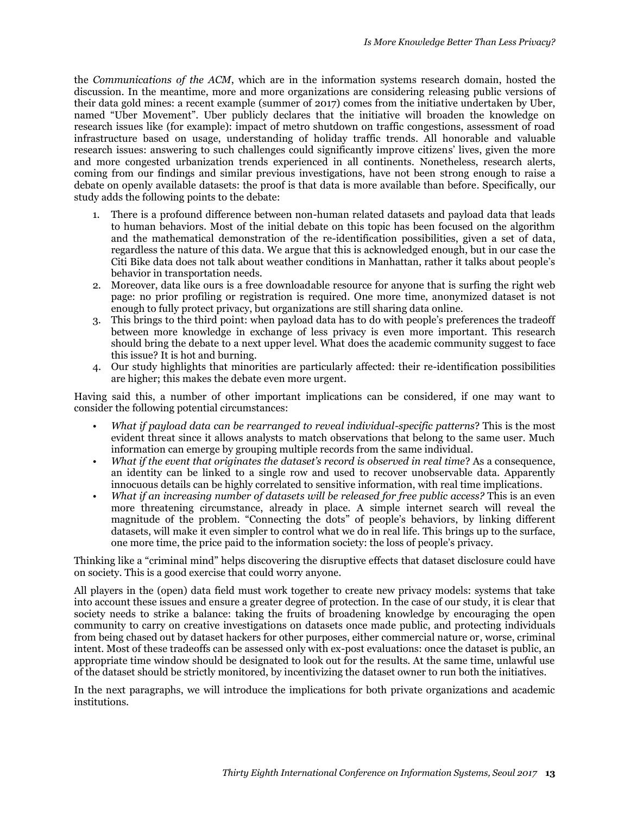the *Communications of the ACM*, which are in the information systems research domain, hosted the discussion. In the meantime, more and more organizations are considering releasing public versions of their data gold mines: a recent example (summer of 2017) comes from the initiative undertaken by Uber, named "Uber Movement". Uber publicly declares that the initiative will broaden the knowledge on research issues like (for example): impact of metro shutdown on traffic congestions, assessment of road infrastructure based on usage, understanding of holiday traffic trends. All honorable and valuable research issues: answering to such challenges could significantly improve citizens' lives, given the more and more congested urbanization trends experienced in all continents. Nonetheless, research alerts, coming from our findings and similar previous investigations, have not been strong enough to raise a debate on openly available datasets: the proof is that data is more available than before. Specifically, our study adds the following points to the debate:

- 1. There is a profound difference between non-human related datasets and payload data that leads to human behaviors. Most of the initial debate on this topic has been focused on the algorithm and the mathematical demonstration of the re-identification possibilities, given a set of data, regardless the nature of this data. We argue that this is acknowledged enough, but in our case the Citi Bike data does not talk about weather conditions in Manhattan, rather it talks about people's behavior in transportation needs.
- 2. Moreover, data like ours is a free downloadable resource for anyone that is surfing the right web page: no prior profiling or registration is required. One more time, anonymized dataset is not enough to fully protect privacy, but organizations are still sharing data online.
- 3. This brings to the third point: when payload data has to do with people's preferences the tradeoff between more knowledge in exchange of less privacy is even more important. This research should bring the debate to a next upper level. What does the academic community suggest to face this issue? It is hot and burning.
- 4. Our study highlights that minorities are particularly affected: their re-identification possibilities are higher; this makes the debate even more urgent.

Having said this, a number of other important implications can be considered, if one may want to consider the following potential circumstances:

- *What if payload data can be rearranged to reveal individual-specific patterns*? This is the most evident threat since it allows analysts to match observations that belong to the same user. Much information can emerge by grouping multiple records from the same individual.
- *What if the event that originates the dataset's record is observed in real time*? As a consequence, an identity can be linked to a single row and used to recover unobservable data. Apparently innocuous details can be highly correlated to sensitive information, with real time implications.
- *What if an increasing number of datasets will be released for free public access?* This is an even more threatening circumstance, already in place. A simple internet search will reveal the magnitude of the problem. "Connecting the dots" of people's behaviors, by linking different datasets, will make it even simpler to control what we do in real life. This brings up to the surface, one more time, the price paid to the information society: the loss of people's privacy.

Thinking like a "criminal mind" helps discovering the disruptive effects that dataset disclosure could have on society. This is a good exercise that could worry anyone.

All players in the (open) data field must work together to create new privacy models: systems that take into account these issues and ensure a greater degree of protection. In the case of our study, it is clear that society needs to strike a balance: taking the fruits of broadening knowledge by encouraging the open community to carry on creative investigations on datasets once made public, and protecting individuals from being chased out by dataset hackers for other purposes, either commercial nature or, worse, criminal intent. Most of these tradeoffs can be assessed only with ex-post evaluations: once the dataset is public, an appropriate time window should be designated to look out for the results. At the same time, unlawful use of the dataset should be strictly monitored, by incentivizing the dataset owner to run both the initiatives.

In the next paragraphs, we will introduce the implications for both private organizations and academic institutions.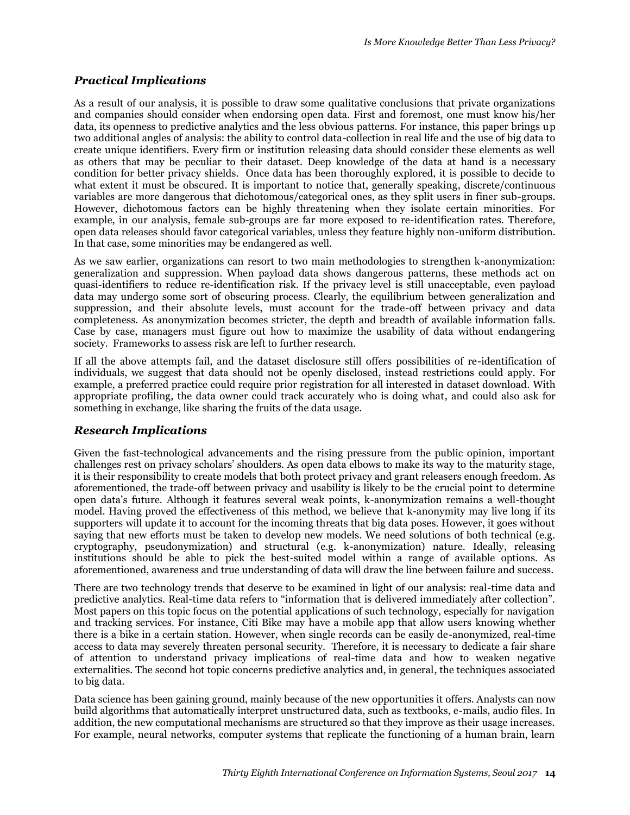### *Practical Implications*

As a result of our analysis, it is possible to draw some qualitative conclusions that private organizations and companies should consider when endorsing open data. First and foremost, one must know his/her data, its openness to predictive analytics and the less obvious patterns. For instance, this paper brings up two additional angles of analysis: the ability to control data-collection in real life and the use of big data to create unique identifiers. Every firm or institution releasing data should consider these elements as well as others that may be peculiar to their dataset. Deep knowledge of the data at hand is a necessary condition for better privacy shields. Once data has been thoroughly explored, it is possible to decide to what extent it must be obscured. It is important to notice that, generally speaking, discrete/continuous variables are more dangerous that dichotomous/categorical ones, as they split users in finer sub-groups. However, dichotomous factors can be highly threatening when they isolate certain minorities. For example, in our analysis, female sub-groups are far more exposed to re-identification rates. Therefore, open data releases should favor categorical variables, unless they feature highly non-uniform distribution. In that case, some minorities may be endangered as well.

As we saw earlier, organizations can resort to two main methodologies to strengthen k-anonymization: generalization and suppression. When payload data shows dangerous patterns, these methods act on quasi-identifiers to reduce re-identification risk. If the privacy level is still unacceptable, even payload data may undergo some sort of obscuring process. Clearly, the equilibrium between generalization and suppression, and their absolute levels, must account for the trade-off between privacy and data completeness. As anonymization becomes stricter, the depth and breadth of available information falls. Case by case, managers must figure out how to maximize the usability of data without endangering society. Frameworks to assess risk are left to further research.

If all the above attempts fail, and the dataset disclosure still offers possibilities of re-identification of individuals, we suggest that data should not be openly disclosed, instead restrictions could apply. For example, a preferred practice could require prior registration for all interested in dataset download. With appropriate profiling, the data owner could track accurately who is doing what, and could also ask for something in exchange, like sharing the fruits of the data usage.

#### *Research Implications*

Given the fast-technological advancements and the rising pressure from the public opinion, important challenges rest on privacy scholars' shoulders. As open data elbows to make its way to the maturity stage, it is their responsibility to create models that both protect privacy and grant releasers enough freedom. As aforementioned, the trade-off between privacy and usability is likely to be the crucial point to determine open data's future. Although it features several weak points, k-anonymization remains a well-thought model. Having proved the effectiveness of this method, we believe that k-anonymity may live long if its supporters will update it to account for the incoming threats that big data poses. However, it goes without saying that new efforts must be taken to develop new models. We need solutions of both technical (e.g. cryptography, pseudonymization) and structural (e.g. k-anonymization) nature. Ideally, releasing institutions should be able to pick the best-suited model within a range of available options. As aforementioned, awareness and true understanding of data will draw the line between failure and success.

There are two technology trends that deserve to be examined in light of our analysis: real-time data and predictive analytics. Real-time data refers to "information that is delivered immediately after collection". Most papers on this topic focus on the potential applications of such technology, especially for navigation and tracking services. For instance, Citi Bike may have a mobile app that allow users knowing whether there is a bike in a certain station. However, when single records can be easily de-anonymized, real-time access to data may severely threaten personal security. Therefore, it is necessary to dedicate a fair share of attention to understand privacy implications of real-time data and how to weaken negative externalities. The second hot topic concerns predictive analytics and, in general, the techniques associated to big data.

Data science has been gaining ground, mainly because of the new opportunities it offers. Analysts can now build algorithms that automatically interpret unstructured data, such as textbooks, e-mails, audio files. In addition, the new computational mechanisms are structured so that they improve as their usage increases. For example, neural networks, computer systems that replicate the functioning of a human brain, learn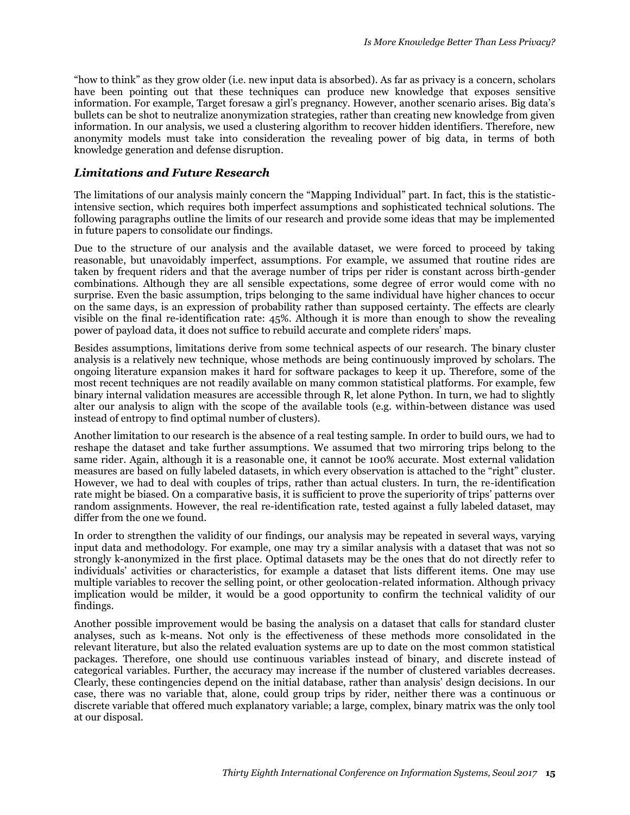"how to think" as they grow older (i.e. new input data is absorbed). As far as privacy is a concern, scholars have been pointing out that these techniques can produce new knowledge that exposes sensitive information. For example, Target foresaw a girl's pregnancy. However, another scenario arises. Big data's bullets can be shot to neutralize anonymization strategies, rather than creating new knowledge from given information. In our analysis, we used a clustering algorithm to recover hidden identifiers. Therefore, new anonymity models must take into consideration the revealing power of big data, in terms of both knowledge generation and defense disruption.

#### *Limitations and Future Research*

The limitations of our analysis mainly concern the "Mapping Individual" part. In fact, this is the statisticintensive section, which requires both imperfect assumptions and sophisticated technical solutions. The following paragraphs outline the limits of our research and provide some ideas that may be implemented in future papers to consolidate our findings.

Due to the structure of our analysis and the available dataset, we were forced to proceed by taking reasonable, but unavoidably imperfect, assumptions. For example, we assumed that routine rides are taken by frequent riders and that the average number of trips per rider is constant across birth-gender combinations. Although they are all sensible expectations, some degree of error would come with no surprise. Even the basic assumption, trips belonging to the same individual have higher chances to occur on the same days, is an expression of probability rather than supposed certainty. The effects are clearly visible on the final re-identification rate: 45%. Although it is more than enough to show the revealing power of payload data, it does not suffice to rebuild accurate and complete riders' maps.

Besides assumptions, limitations derive from some technical aspects of our research. The binary cluster analysis is a relatively new technique, whose methods are being continuously improved by scholars. The ongoing literature expansion makes it hard for software packages to keep it up. Therefore, some of the most recent techniques are not readily available on many common statistical platforms. For example, few binary internal validation measures are accessible through R, let alone Python. In turn, we had to slightly alter our analysis to align with the scope of the available tools (e.g. within-between distance was used instead of entropy to find optimal number of clusters).

Another limitation to our research is the absence of a real testing sample. In order to build ours, we had to reshape the dataset and take further assumptions. We assumed that two mirroring trips belong to the same rider. Again, although it is a reasonable one, it cannot be 100% accurate. Most external validation measures are based on fully labeled datasets, in which every observation is attached to the "right" cluster. However, we had to deal with couples of trips, rather than actual clusters. In turn, the re-identification rate might be biased. On a comparative basis, it is sufficient to prove the superiority of trips' patterns over random assignments. However, the real re-identification rate, tested against a fully labeled dataset, may differ from the one we found.

In order to strengthen the validity of our findings, our analysis may be repeated in several ways, varying input data and methodology. For example, one may try a similar analysis with a dataset that was not so strongly k-anonymized in the first place. Optimal datasets may be the ones that do not directly refer to individuals' activities or characteristics, for example a dataset that lists different items. One may use multiple variables to recover the selling point, or other geolocation-related information. Although privacy implication would be milder, it would be a good opportunity to confirm the technical validity of our findings.

Another possible improvement would be basing the analysis on a dataset that calls for standard cluster analyses, such as k-means. Not only is the effectiveness of these methods more consolidated in the relevant literature, but also the related evaluation systems are up to date on the most common statistical packages. Therefore, one should use continuous variables instead of binary, and discrete instead of categorical variables. Further, the accuracy may increase if the number of clustered variables decreases. Clearly, these contingencies depend on the initial database, rather than analysis' design decisions. In our case, there was no variable that, alone, could group trips by rider, neither there was a continuous or discrete variable that offered much explanatory variable; a large, complex, binary matrix was the only tool at our disposal.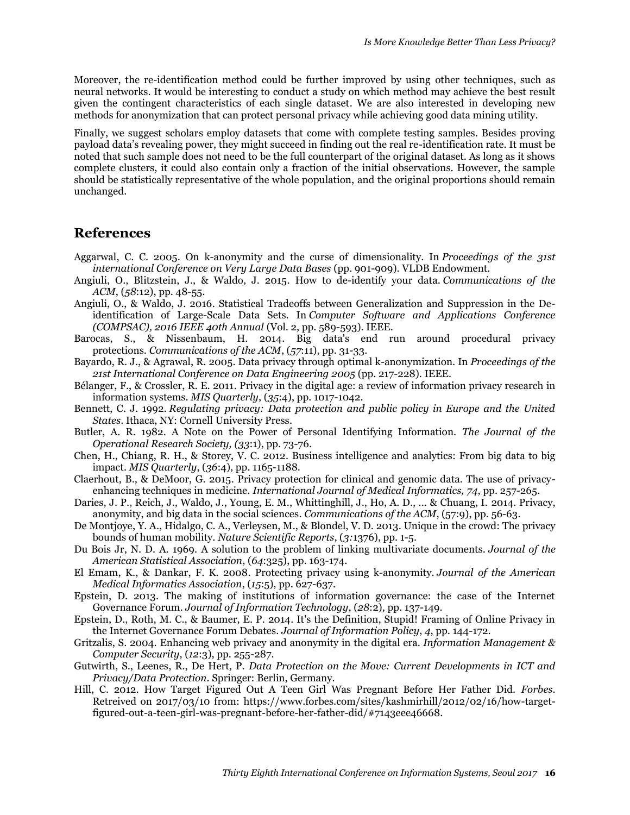Moreover, the re-identification method could be further improved by using other techniques, such as neural networks. It would be interesting to conduct a study on which method may achieve the best result given the contingent characteristics of each single dataset. We are also interested in developing new methods for anonymization that can protect personal privacy while achieving good data mining utility.

Finally, we suggest scholars employ datasets that come with complete testing samples. Besides proving payload data's revealing power, they might succeed in finding out the real re-identification rate. It must be noted that such sample does not need to be the full counterpart of the original dataset. As long as it shows complete clusters, it could also contain only a fraction of the initial observations. However, the sample should be statistically representative of the whole population, and the original proportions should remain unchanged.

### **References**

- Aggarwal, C. C. 2005. On k-anonymity and the curse of dimensionality. In *Proceedings of the 31st international Conference on Very Large Data Bases* (pp. 901-909). VLDB Endowment.
- Angiuli, O., Blitzstein, J., & Waldo, J. 2015. How to de-identify your data. *Communications of the ACM*, (*58*:12), pp. 48-55.
- Angiuli, O., & Waldo, J. 2016. Statistical Tradeoffs between Generalization and Suppression in the Deidentification of Large-Scale Data Sets. In *Computer Software and Applications Conference (COMPSAC), 2016 IEEE 40th Annual* (Vol. 2, pp. 589-593). IEEE.
- Barocas, S., & Nissenbaum, H. 2014. Big data's end run around procedural privacy protections. *Communications of the ACM*, (*57*:11), pp. 31-33.
- Bayardo, R. J., & Agrawal, R. 2005. Data privacy through optimal k-anonymization. In *Proceedings of the 21st International Conference on Data Engineering 2005* (pp. 217-228). IEEE.
- Bélanger, F., & Crossler, R. E. 2011. Privacy in the digital age: a review of information privacy research in information systems. *MIS Quarterly*, (*35*:4), pp. 1017-1042.
- Bennett, C. J. 1992. *Regulating privacy: Data protection and public policy in Europe and the United States*. Ithaca, NY: Cornell University Press.
- Butler, A. R. 1982. A Note on the Power of Personal Identifying Information. *The Journal of the Operational Research Society, (33*:1), pp. 73-76.
- Chen, H., Chiang, R. H., & Storey, V. C. 2012. Business intelligence and analytics: From big data to big impact. *MIS Quarterly*, (*36*:4), pp. 1165-1188.
- Claerhout, B., & DeMoor, G. 2015. Privacy protection for clinical and genomic data. The use of privacyenhancing techniques in medicine. *International Journal of Medical Informatics, 74*, pp. 257-265.
- Daries, J. P., Reich, J., Waldo, J., Young, E. M., Whittinghill, J., Ho, A. D., ... & Chuang, I. 2014. Privacy, anonymity, and big data in the social sciences. *Communications of the ACM*, (57:9), pp. 56-63.
- De Montjoye, Y. A., Hidalgo, C. A., Verleysen, M., & Blondel, V. D. 2013. Unique in the crowd: The privacy bounds of human mobility. *Nature Scientific Reports*, (*3:*1376), pp. 1-5.
- Du Bois Jr, N. D. A. 1969. A solution to the problem of linking multivariate documents. *Journal of the American Statistical Association*, (*64*:325), pp. 163-174.
- El Emam, K., & Dankar, F. K. 2008. Protecting privacy using k-anonymity. *Journal of the American Medical Informatics Association*, (*15*:5), pp. 627-637.
- Epstein, D. 2013. The making of institutions of information governance: the case of the Internet Governance Forum. *Journal of Information Technology*, (*28*:2), pp. 137-149.
- Epstein, D., Roth, M. C., & Baumer, E. P. 2014. It's the Definition, Stupid! Framing of Online Privacy in the Internet Governance Forum Debates. *Journal of Information Policy*, *4*, pp. 144-172.
- Gritzalis, S. 2004. Enhancing web privacy and anonymity in the digital era. *Information Management & Computer Security*, (*12*:3), pp. 255-287.
- Gutwirth, S., Leenes, R., De Hert, P. *Data Protection on the Move: Current Developments in ICT and Privacy/Data Protection.* Springer: Berlin, Germany.
- Hill, C. 2012. How Target Figured Out A Teen Girl Was Pregnant Before Her Father Did. *Forbes*. Retreived on 2017/03/10 from: https://www.forbes.com/sites/kashmirhill/2012/02/16/how-targetfigured-out-a-teen-girl-was-pregnant-before-her-father-did/#7143eee46668.